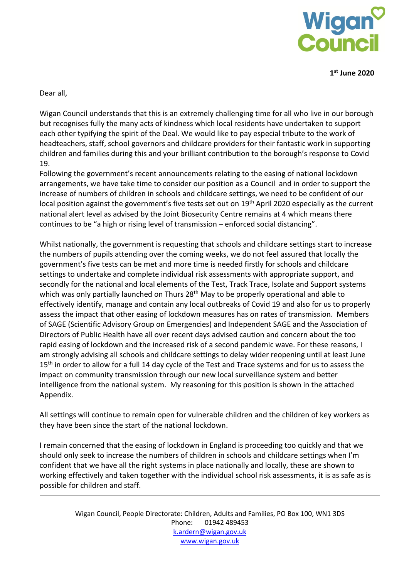

**1st June 2020**

Dear all,

Wigan Council understands that this is an extremely challenging time for all who live in our borough but recognises fully the many acts of kindness which local residents have undertaken to support each other typifying the spirit of the Deal. We would like to pay especial tribute to the work of headteachers, staff, school governors and childcare providers for their fantastic work in supporting children and families during this and your brilliant contribution to the borough's response to Covid 19.

Following the government's recent announcements relating to the easing of national lockdown arrangements, we have take time to consider our position as a Council and in order to support the increase of numbers of children in schools and childcare settings, we need to be confident of our local position against the government's five tests set out on 19<sup>th</sup> April 2020 especially as the current national alert level as advised by the Joint Biosecurity Centre remains at 4 which means there continues to be "a high or rising level of transmission – enforced social distancing".

Whilst nationally, the government is requesting that schools and childcare settings start to increase the numbers of pupils attending over the coming weeks, we do not feel assured that locally the government's five tests can be met and more time is needed firstly for schools and childcare settings to undertake and complete individual risk assessments with appropriate support, and secondly for the national and local elements of the Test, Track Trace, Isolate and Support systems which was only partially launched on Thurs 28<sup>th</sup> May to be properly operational and able to effectively identify, manage and contain any local outbreaks of Covid 19 and also for us to properly assess the impact that other easing of lockdown measures has on rates of transmission. Members of SAGE (Scientific Advisory Group on Emergencies) and Independent SAGE and the Association of Directors of Public Health have all over recent days advised caution and concern about the too rapid easing of lockdown and the increased risk of a second pandemic wave. For these reasons, I am strongly advising all schools and childcare settings to delay wider reopening until at least June 15<sup>th</sup> in order to allow for a full 14 day cycle of the Test and Trace systems and for us to assess the impact on community transmission through our new local surveillance system and better intelligence from the national system. My reasoning for this position is shown in the attached Appendix.

All settings will continue to remain open for vulnerable children and the children of key workers as they have been since the start of the national lockdown.

I remain concerned that the easing of lockdown in England is proceeding too quickly and that we should only seek to increase the numbers of children in schools and childcare settings when I'm confident that we have all the right systems in place nationally and locally, these are shown to working effectively and taken together with the individual school risk assessments, it is as safe as is possible for children and staff.

> Wigan Council, People Directorate: Children, Adults and Families, PO Box 100, WN1 3DS Phone: 01942 489453 [k.ardern@wigan.gov.uk](mailto:k.ardern@wigan.gov.uk) [www.wigan.gov.uk](http://www.wigan.gov.uk/)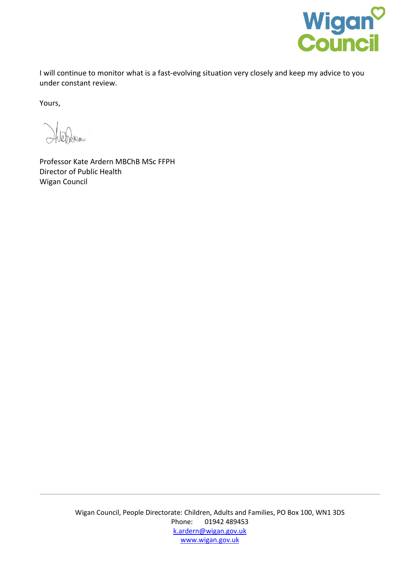

I will continue to monitor what is a fast-evolving situation very closely and keep my advice to you under constant review.

Yours,

len.

Professor Kate Ardern MBChB MSc FFPH Director of Public Health Wigan Council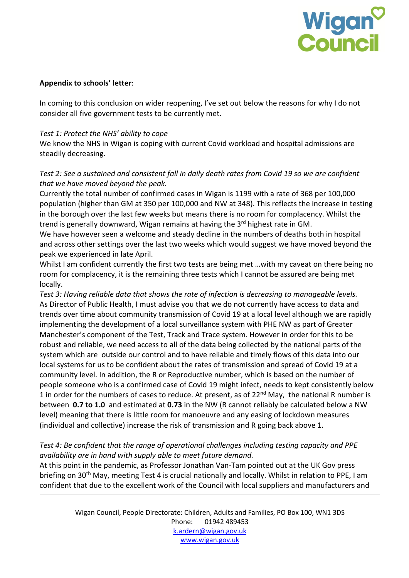

### **Appendix to schools' letter**:

In coming to this conclusion on wider reopening, I've set out below the reasons for why I do not consider all five government tests to be currently met.

### *Test 1: Protect the NHS' ability to cope*

We know the NHS in Wigan is coping with current Covid workload and hospital admissions are steadily decreasing.

# *Test 2: See a sustained and consistent fall in daily death rates from Covid 19 so we are confident that we have moved beyond the peak.*

Currently the total number of confirmed cases in Wigan is 1199 with a rate of 368 per 100,000 population (higher than GM at 350 per 100,000 and NW at 348). This reflects the increase in testing in the borough over the last few weeks but means there is no room for complacency. Whilst the trend is generally downward, Wigan remains at having the 3<sup>rd</sup> highest rate in GM.

We have however seen a welcome and steady decline in the numbers of deaths both in hospital and across other settings over the last two weeks which would suggest we have moved beyond the peak we experienced in late April.

Whilst I am confident currently the first two tests are being met ... with my caveat on there being no room for complacency, it is the remaining three tests which I cannot be assured are being met locally.

*Test 3: Having reliable data that shows the rate of infection is decreasing to manageable levels.* As Director of Public Health, I must advise you that we do not currently have access to data and trends over time about community transmission of Covid 19 at a local level although we are rapidly implementing the development of a local surveillance system with PHE NW as part of Greater Manchester's component of the Test, Track and Trace system. However in order for this to be robust and reliable, we need access to all of the data being collected by the national parts of the system which are outside our control and to have reliable and timely flows of this data into our local systems for us to be confident about the rates of transmission and spread of Covid 19 at a community level. In addition, the R or Reproductive number, which is based on the number of people someone who is a confirmed case of Covid 19 might infect, needs to kept consistently below 1 in order for the numbers of cases to reduce. At present, as of  $22^{nd}$  May, the national R number is between **0.7 to 1.0** and estimated at **0.73** in the NW (R cannot reliably be calculated below a NW level) meaning that there is little room for manoeuvre and any easing of lockdown measures (individual and collective) increase the risk of transmission and R going back above 1.

# *Test 4: Be confident that the range of operational challenges including testing capacity and PPE availability are in hand with supply able to meet future demand.*

At this point in the pandemic, as Professor Jonathan Van-Tam pointed out at the UK Gov press briefing on 30<sup>th</sup> May, meeting Test 4 is crucial nationally and locally. Whilst in relation to PPE, I am confident that due to the excellent work of the Council with local suppliers and manufacturers and